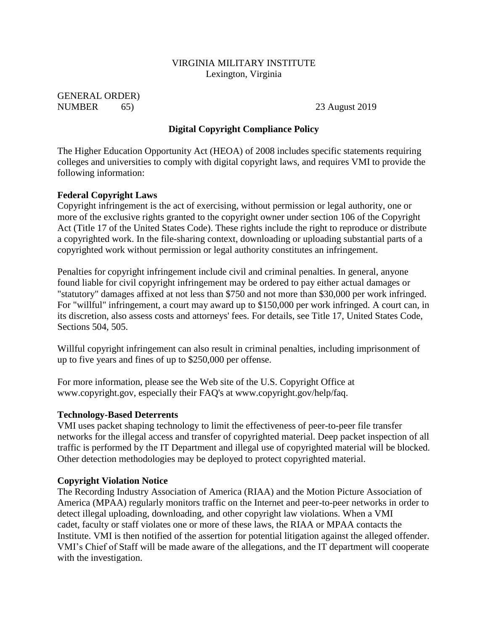## VIRGINIA MILITARY INSTITUTE Lexington, Virginia

GENERAL ORDER) NUMBER 65) 23 August 2019

# **Digital Copyright Compliance Policy**

The Higher Education Opportunity Act (HEOA) of 2008 includes specific statements requiring colleges and universities to comply with digital copyright laws, and requires VMI to provide the following information:

#### **Federal Copyright Laws**

Copyright infringement is the act of exercising, without permission or legal authority, one or more of the exclusive rights granted to the copyright owner under section 106 of the Copyright Act (Title 17 of the United States Code). These rights include the right to reproduce or distribute a copyrighted work. In the file-sharing context, downloading or uploading substantial parts of a copyrighted work without permission or legal authority constitutes an infringement.

Penalties for copyright infringement include civil and criminal penalties. In general, anyone found liable for civil copyright infringement may be ordered to pay either actual damages or "statutory" damages affixed at not less than \$750 and not more than \$30,000 per work infringed. For "willful" infringement, a court may award up to \$150,000 per work infringed. A court can, in its discretion, also assess costs and attorneys' fees. For details, see Title 17, United States Code, Sections 504, 505.

Willful copyright infringement can also result in criminal penalties, including imprisonment of up to five years and fines of up to \$250,000 per offense.

For more information, please see the Web site of the U.S. Copyright Office at www.copyright.gov, especially their FAQ's at www.copyright.gov/help/faq.

#### **Technology-Based Deterrents**

VMI uses packet shaping technology to limit the effectiveness of peer-to-peer file transfer networks for the illegal access and transfer of copyrighted material. Deep packet inspection of all traffic is performed by the IT Department and illegal use of copyrighted material will be blocked. Other detection methodologies may be deployed to protect copyrighted material.

#### **Copyright Violation Notice**

The Recording Industry Association of America (RIAA) and the Motion Picture Association of America (MPAA) regularly monitors traffic on the Internet and peer-to-peer networks in order to detect illegal uploading, downloading, and other copyright law violations. When a VMI cadet, faculty or staff violates one or more of these laws, the RIAA or MPAA contacts the Institute. VMI is then notified of the assertion for potential litigation against the alleged offender. VMI's Chief of Staff will be made aware of the allegations, and the IT department will cooperate with the investigation.